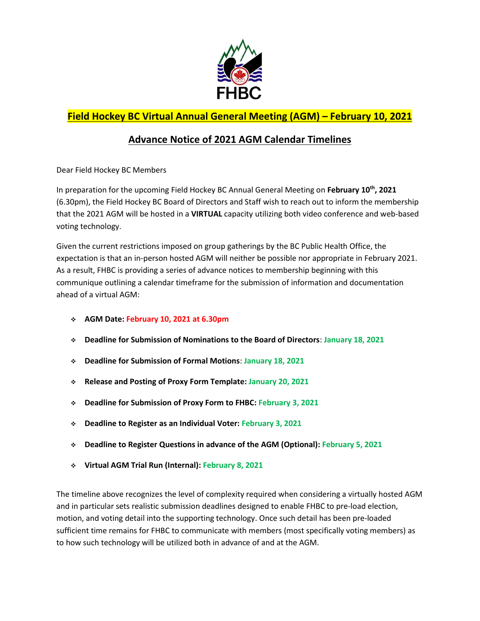

## **Field Hockey BC Virtual Annual General Meeting (AGM) – February 10, 2021**

## **Advance Notice of 2021 AGM Calendar Timelines**

Dear Field Hockey BC Members

In preparation for the upcoming Field Hockey BC Annual General Meeting on **February 10th , 2021** (6.30pm), the Field Hockey BC Board of Directors and Staff wish to reach out to inform the membership that the 2021 AGM will be hosted in a **VIRTUAL** capacity utilizing both video conference and web-based voting technology.

Given the current restrictions imposed on group gatherings by the BC Public Health Office, the expectation is that an in-person hosted AGM will neither be possible nor appropriate in February 2021. As a result, FHBC is providing a series of advance notices to membership beginning with this communique outlining a calendar timeframe for the submission of information and documentation ahead of a virtual AGM:

- **AGM Date: February 10, 2021 at 6.30pm**
- **Deadline for Submission of Nominations to the Board of Directors**: **January 18, 2021**
- **Deadline for Submission of Formal Motions**: **January 18, 2021**
- **Release and Posting of Proxy Form Template: January 20, 2021**
- **Deadline for Submission of Proxy Form to FHBC: February 3, 2021**
- **Deadline to Register as an Individual Voter: February 3, 2021**
- **Deadline to Register Questions in advance of the AGM (Optional): February 5, 2021**
- **Virtual AGM Trial Run (Internal): February 8, 2021**

The timeline above recognizes the level of complexity required when considering a virtually hosted AGM and in particular sets realistic submission deadlines designed to enable FHBC to pre-load election, motion, and voting detail into the supporting technology. Once such detail has been pre-loaded sufficient time remains for FHBC to communicate with members (most specifically voting members) as to how such technology will be utilized both in advance of and at the AGM.